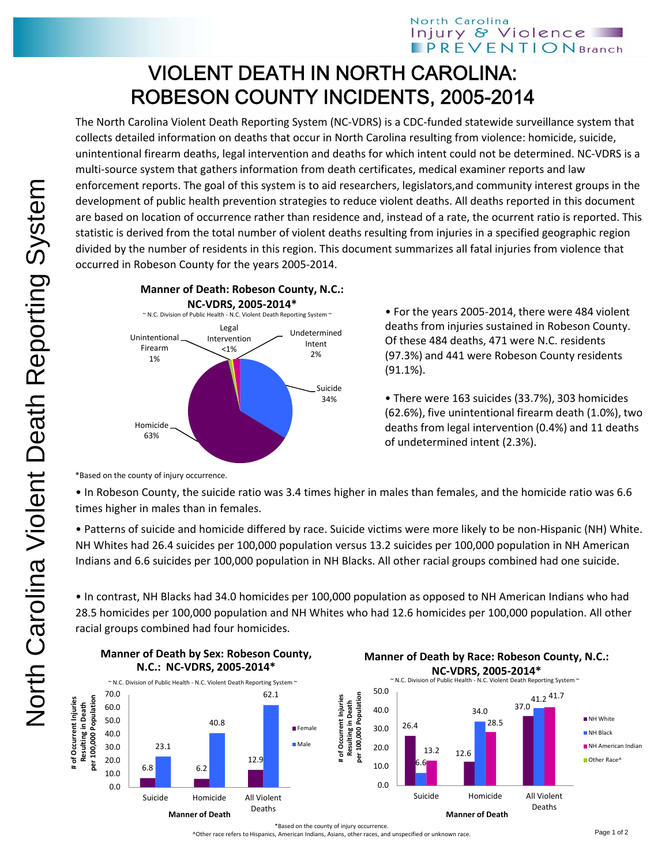## VIOLENT DEATH IN NORTH CAROLINA: ROBESON COUNTY INCIDENTS, 2005-2014

The North Carolina Violent Death Reporting System (NC‐VDRS) is a CDC‐funded statewide surveillance system that collects detailed information on deaths that occur in North Carolina resulting from violence: homicide, suicide, unintentional firearm deaths, legal intervention and deaths for which intent could not be determined. NC‐VDRS is a multi‐source system that gathers information from death certificates, medical examiner reports and law enforcement reports. The goal of this system is to aid researchers, legislators,and community interest groups in the development of public health prevention strategies to reduce violent deaths. All deaths reported in this document are based on location of occurrence rather than residence and, instead of a rate, the ocurrent ratio is reported. This statistic is derived from the total number of violent deaths resulting from injuries in a specified geographic region divided by the number of residents in this region. This document summarizes all fatal injuries from violence that occurred in Robeson County for the years 2005‐2014.



• For the years 2005‐2014, there were 484 violent deaths from injuries sustained in Robeson County. Of these 484 deaths, 471 were N.C. residents (97.3%) and 441 were Robeson County residents (91.1%).

• There were 163 suicides (33.7%), 303 homicides (62.6%), five unintentional firearm death (1.0%), two deaths from legal intervention (0.4%) and 11 deaths of undetermined intent (2.3%).

\*Based on the county of injury occurrence.

• In Robeson County, the suicide ratio was 3.4 times higher in males than females, and the homicide ratio was 6.6 times higher in males than in females.

• Patterns of suicide and homicide differed by race. Suicide victims were more likely to be non‐Hispanic (NH) White. NH Whites had 26.4 suicides per 100,000 population versus 13.2 suicides per 100,000 population in NH American Indians and 6.6 suicides per 100,000 population in NH Blacks. All other racial groups combined had one suicide.

• In contrast, NH Blacks had 34.0 homicides per 100,000 population as opposed to NH American Indians who had 28.5 homicides per 100,000 population and NH Whites who had 12.6 homicides per 100,000 population. All other racial groups combined had four homicides.





12.6 Suicide Homicide All Violent Deaths **Manner of Death NH** Black NH American Indian Other Race<sup>^</sup>